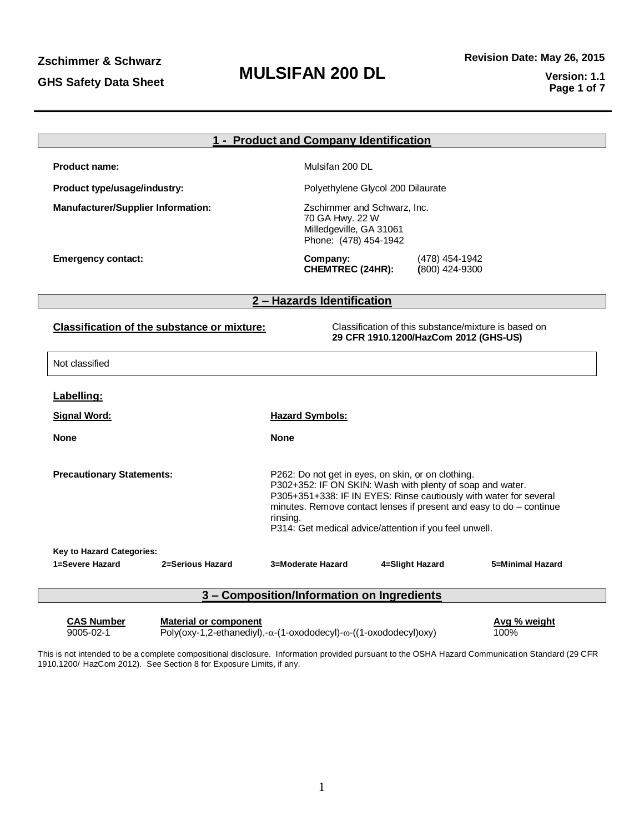|                                                    | 1 - Product and Company Identification                                                                                                                                                                                                                                                                                            |  |  |  |  |
|----------------------------------------------------|-----------------------------------------------------------------------------------------------------------------------------------------------------------------------------------------------------------------------------------------------------------------------------------------------------------------------------------|--|--|--|--|
| <b>Product name:</b>                               | Mulsifan 200 DL                                                                                                                                                                                                                                                                                                                   |  |  |  |  |
| Product type/usage/industry:                       | Polyethylene Glycol 200 Dilaurate                                                                                                                                                                                                                                                                                                 |  |  |  |  |
| <b>Manufacturer/Supplier Information:</b>          | Zschimmer and Schwarz, Inc.<br>70 GA Hwy. 22 W<br>Milledgeville, GA 31061<br>Phone: (478) 454-1942                                                                                                                                                                                                                                |  |  |  |  |
| <b>Emergency contact:</b>                          | Company:<br>(478) 454-1942<br><b>CHEMTREC (24HR):</b><br>(800) 424-9300                                                                                                                                                                                                                                                           |  |  |  |  |
|                                                    | 2 - Hazards Identification                                                                                                                                                                                                                                                                                                        |  |  |  |  |
| <b>Classification of the substance or mixture:</b> | Classification of this substance/mixture is based on<br>29 CFR 1910.1200/HazCom 2012 (GHS-US)                                                                                                                                                                                                                                     |  |  |  |  |
| Not classified                                     |                                                                                                                                                                                                                                                                                                                                   |  |  |  |  |
| Labelling:                                         |                                                                                                                                                                                                                                                                                                                                   |  |  |  |  |
| <b>Signal Word:</b>                                | <b>Hazard Symbols:</b>                                                                                                                                                                                                                                                                                                            |  |  |  |  |
| <b>None</b>                                        | <b>None</b>                                                                                                                                                                                                                                                                                                                       |  |  |  |  |
| <b>Precautionary Statements:</b>                   | P262: Do not get in eyes, on skin, or on clothing.<br>P302+352: IF ON SKIN: Wash with plenty of soap and water.<br>P305+351+338: IF IN EYES: Rinse cautiously with water for several<br>minutes. Remove contact lenses if present and easy to do - continue<br>rinsing.<br>P314: Get medical advice/attention if you feel unwell. |  |  |  |  |
| Key to Hazard Categories:                          |                                                                                                                                                                                                                                                                                                                                   |  |  |  |  |
| 1=Severe Hazard<br>2=Serious Hazard                | 4=Slight Hazard<br>5=Minimal Hazard<br>3=Moderate Hazard                                                                                                                                                                                                                                                                          |  |  |  |  |
|                                                    | 3 - Composition/Information on Ingredients                                                                                                                                                                                                                                                                                        |  |  |  |  |
| <b>CAS Number</b><br><b>Material or component</b>  | Avg % weight                                                                                                                                                                                                                                                                                                                      |  |  |  |  |

 $\overline{$ 9005-02-1 Poly(oxy-1,2-ethanediyl),- $\alpha$ -(1-oxododecyl)- $\omega$ -((1-oxododecyl)oxy) 100%

This is not intended to be a complete compositional disclosure. Information provided pursuant to the OSHA Hazard Communication Standard (29 CFR 1910.1200/ HazCom 2012). See Section 8 for Exposure Limits, if any.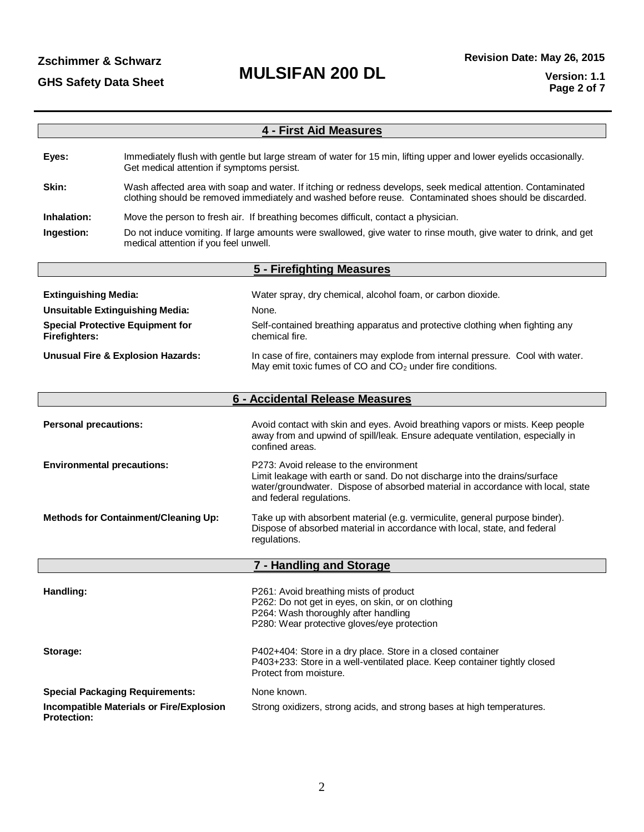| <b>4 - First Aid Measures</b>                                                                             |                                                                                                                                                                 |                                                                                                                                                                                                                                     |  |  |  |
|-----------------------------------------------------------------------------------------------------------|-----------------------------------------------------------------------------------------------------------------------------------------------------------------|-------------------------------------------------------------------------------------------------------------------------------------------------------------------------------------------------------------------------------------|--|--|--|
|                                                                                                           |                                                                                                                                                                 |                                                                                                                                                                                                                                     |  |  |  |
| Eyes:                                                                                                     | Immediately flush with gentle but large stream of water for 15 min, lifting upper and lower eyelids occasionally.<br>Get medical attention if symptoms persist. |                                                                                                                                                                                                                                     |  |  |  |
| Skin:                                                                                                     |                                                                                                                                                                 | Wash affected area with soap and water. If itching or redness develops, seek medical attention. Contaminated<br>clothing should be removed immediately and washed before reuse. Contaminated shoes should be discarded.             |  |  |  |
| Inhalation:                                                                                               |                                                                                                                                                                 | Move the person to fresh air. If breathing becomes difficult, contact a physician.                                                                                                                                                  |  |  |  |
| Ingestion:                                                                                                | medical attention if you feel unwell.                                                                                                                           | Do not induce vomiting. If large amounts were swallowed, give water to rinse mouth, give water to drink, and get                                                                                                                    |  |  |  |
|                                                                                                           |                                                                                                                                                                 | 5 - Firefighting Measures                                                                                                                                                                                                           |  |  |  |
|                                                                                                           |                                                                                                                                                                 |                                                                                                                                                                                                                                     |  |  |  |
| <b>Extinguishing Media:</b>                                                                               |                                                                                                                                                                 | Water spray, dry chemical, alcohol foam, or carbon dioxide.<br>None.                                                                                                                                                                |  |  |  |
| <b>Unsuitable Extinguishing Media:</b><br><b>Special Protective Equipment for</b><br><b>Firefighters:</b> |                                                                                                                                                                 | Self-contained breathing apparatus and protective clothing when fighting any<br>chemical fire.                                                                                                                                      |  |  |  |
|                                                                                                           | <b>Unusual Fire &amp; Explosion Hazards:</b>                                                                                                                    | In case of fire, containers may explode from internal pressure. Cool with water.<br>May emit toxic fumes of CO and CO <sub>2</sub> under fire conditions.                                                                           |  |  |  |
|                                                                                                           |                                                                                                                                                                 | 6 - Accidental Release Measures                                                                                                                                                                                                     |  |  |  |
|                                                                                                           |                                                                                                                                                                 |                                                                                                                                                                                                                                     |  |  |  |
| <b>Personal precautions:</b>                                                                              |                                                                                                                                                                 | Avoid contact with skin and eyes. Avoid breathing vapors or mists. Keep people<br>away from and upwind of spill/leak. Ensure adequate ventilation, especially in<br>confined areas.                                                 |  |  |  |
| <b>Environmental precautions:</b>                                                                         |                                                                                                                                                                 | P273: Avoid release to the environment<br>Limit leakage with earth or sand. Do not discharge into the drains/surface<br>water/groundwater. Dispose of absorbed material in accordance with local, state<br>and federal regulations. |  |  |  |
| <b>Methods for Containment/Cleaning Up:</b>                                                               |                                                                                                                                                                 | Take up with absorbent material (e.g. vermiculite, general purpose binder).<br>Dispose of absorbed material in accordance with local, state, and federal<br>regulations.                                                            |  |  |  |
|                                                                                                           |                                                                                                                                                                 | 7 - Handling and Storage                                                                                                                                                                                                            |  |  |  |
| Handling:                                                                                                 |                                                                                                                                                                 | P261: Avoid breathing mists of product<br>P262: Do not get in eyes, on skin, or on clothing<br>P264: Wash thoroughly after handling<br>P280: Wear protective gloves/eye protection                                                  |  |  |  |
| Storage:                                                                                                  |                                                                                                                                                                 | P402+404: Store in a dry place. Store in a closed container<br>P403+233: Store in a well-ventilated place. Keep container tightly closed<br>Protect from moisture.                                                                  |  |  |  |
|                                                                                                           | <b>Special Packaging Requirements:</b>                                                                                                                          | None known.                                                                                                                                                                                                                         |  |  |  |
| <b>Protection:</b>                                                                                        | <b>Incompatible Materials or Fire/Explosion</b>                                                                                                                 | Strong oxidizers, strong acids, and strong bases at high temperatures.                                                                                                                                                              |  |  |  |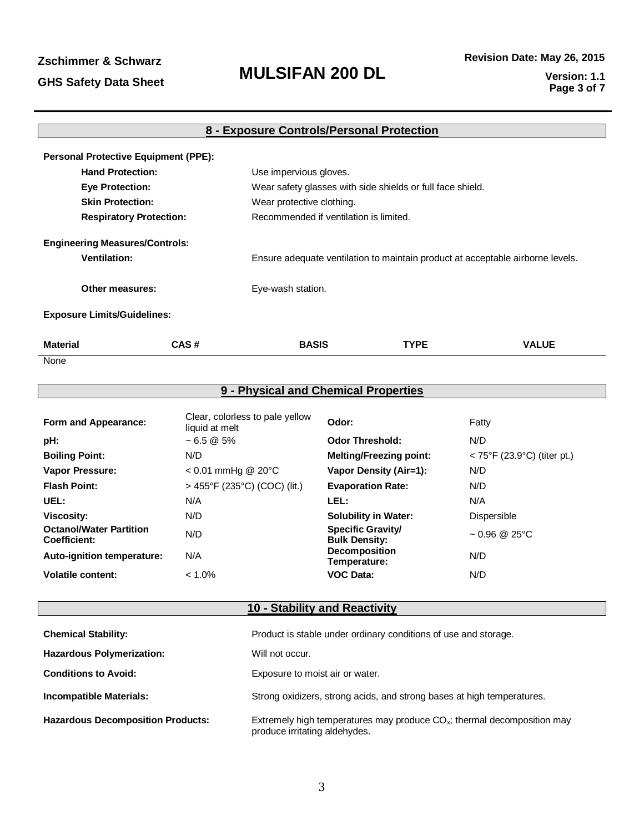### **MULSIFAN 200 DL** GHS Safety Data Sheet **MULSIFAN 200 DL** Version: 1.1<br>Page 3.of 7

| 8 - Exposure Controls/Personal Protection |                                             |                                                                                |                                        |              |  |  |  |  |
|-------------------------------------------|---------------------------------------------|--------------------------------------------------------------------------------|----------------------------------------|--------------|--|--|--|--|
|                                           | <b>Personal Protective Equipment (PPE):</b> |                                                                                |                                        |              |  |  |  |  |
| <b>Hand Protection:</b>                   |                                             | Use impervious gloves.                                                         |                                        |              |  |  |  |  |
| <b>Eye Protection:</b>                    |                                             | Wear safety glasses with side shields or full face shield.                     |                                        |              |  |  |  |  |
| <b>Skin Protection:</b>                   |                                             | Wear protective clothing.                                                      |                                        |              |  |  |  |  |
|                                           | <b>Respiratory Protection:</b>              |                                                                                | Recommended if ventilation is limited. |              |  |  |  |  |
| <b>Engineering Measures/Controls:</b>     |                                             |                                                                                |                                        |              |  |  |  |  |
| <b>Ventilation:</b>                       |                                             | Ensure adequate ventilation to maintain product at acceptable airborne levels. |                                        |              |  |  |  |  |
| Other measures:                           |                                             | Eye-wash station.                                                              |                                        |              |  |  |  |  |
| <b>Exposure Limits/Guidelines:</b>        |                                             |                                                                                |                                        |              |  |  |  |  |
| <b>Material</b>                           | CAS#                                        | <b>BASIS</b>                                                                   | <b>TYPE</b>                            | <b>VALUE</b> |  |  |  |  |
| None                                      |                                             |                                                                                |                                        |              |  |  |  |  |

| 9 - Physical and Chemical Properties                  |                                                   |                                                  |                                                  |  |  |
|-------------------------------------------------------|---------------------------------------------------|--------------------------------------------------|--------------------------------------------------|--|--|
| Form and Appearance:                                  | Clear, colorless to pale yellow<br>liquid at melt | Odor:                                            | Fatty                                            |  |  |
| pH:                                                   | $~1$ - 6.5 $\omega$ 5%                            | <b>Odor Threshold:</b>                           | N/D                                              |  |  |
| <b>Boiling Point:</b>                                 | N/D                                               | <b>Melting/Freezing point:</b>                   | $< 75^{\circ}$ F (23.9 $^{\circ}$ C) (titer pt.) |  |  |
| <b>Vapor Pressure:</b>                                | $< 0.01$ mmHg @ 20 $^{\circ}$ C                   | Vapor Density (Air=1):                           | N/D                                              |  |  |
| <b>Flash Point:</b>                                   | $>$ 455°F (235°C) (COC) (lit.)                    | <b>Evaporation Rate:</b>                         | N/D                                              |  |  |
| UEL:                                                  | N/A                                               | LEL:                                             | N/A                                              |  |  |
| <b>Viscosity:</b>                                     | N/D                                               | <b>Solubility in Water:</b>                      | Dispersible                                      |  |  |
| <b>Octanol/Water Partition</b><br><b>Coefficient:</b> | N/D                                               | <b>Specific Gravity/</b><br><b>Bulk Density:</b> | $\sim 0.96$ @ 25°C                               |  |  |
| Auto-ignition temperature:                            | N/A                                               | <b>Decomposition</b><br>Temperature:             | N/D                                              |  |  |
| <b>Volatile content:</b>                              | $< 1.0\%$                                         | <b>VOC Data:</b>                                 | N/D                                              |  |  |

### **10 - Stability and Reactivity**

| <b>Chemical Stability:</b>               | Product is stable under ordinary conditions of use and storage.                                               |
|------------------------------------------|---------------------------------------------------------------------------------------------------------------|
| <b>Hazardous Polymerization:</b>         | Will not occur.                                                                                               |
| <b>Conditions to Avoid:</b>              | Exposure to moist air or water.                                                                               |
| Incompatible Materials:                  | Strong oxidizers, strong acids, and strong bases at high temperatures.                                        |
| <b>Hazardous Decomposition Products:</b> | Extremely high temperatures may produce $CO_{x}$ ; thermal decomposition may<br>produce irritating aldehydes. |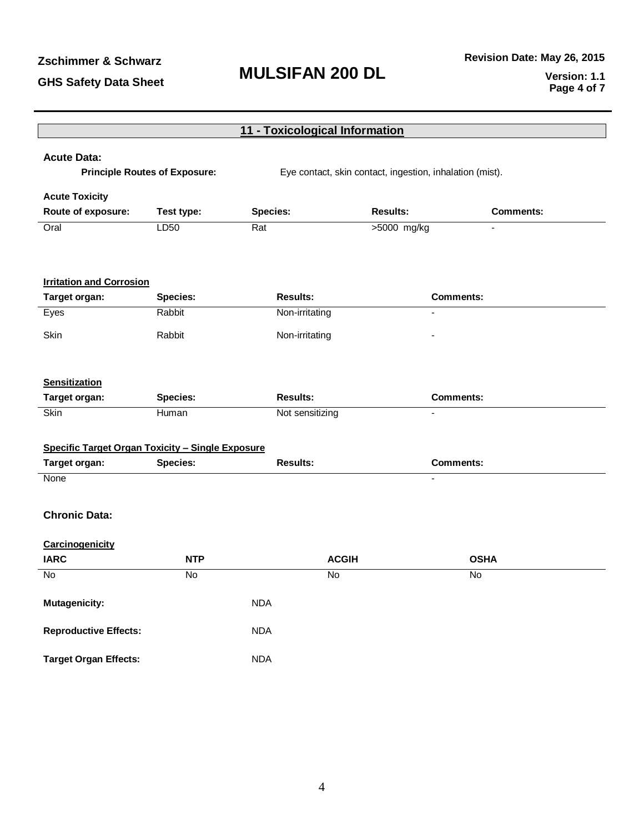## **MULSIFAN 200 DL**

|                | 11 - Toxicological Information                                                                                                         |                                                                                                                                                                                                        |                                                                                                                                     |  |  |  |  |
|----------------|----------------------------------------------------------------------------------------------------------------------------------------|--------------------------------------------------------------------------------------------------------------------------------------------------------------------------------------------------------|-------------------------------------------------------------------------------------------------------------------------------------|--|--|--|--|
|                |                                                                                                                                        |                                                                                                                                                                                                        |                                                                                                                                     |  |  |  |  |
|                |                                                                                                                                        |                                                                                                                                                                                                        |                                                                                                                                     |  |  |  |  |
|                |                                                                                                                                        |                                                                                                                                                                                                        |                                                                                                                                     |  |  |  |  |
|                |                                                                                                                                        |                                                                                                                                                                                                        | <b>Comments:</b>                                                                                                                    |  |  |  |  |
|                |                                                                                                                                        |                                                                                                                                                                                                        |                                                                                                                                     |  |  |  |  |
|                |                                                                                                                                        |                                                                                                                                                                                                        |                                                                                                                                     |  |  |  |  |
|                |                                                                                                                                        |                                                                                                                                                                                                        |                                                                                                                                     |  |  |  |  |
|                |                                                                                                                                        |                                                                                                                                                                                                        |                                                                                                                                     |  |  |  |  |
|                |                                                                                                                                        |                                                                                                                                                                                                        | <b>Comments:</b>                                                                                                                    |  |  |  |  |
|                |                                                                                                                                        |                                                                                                                                                                                                        |                                                                                                                                     |  |  |  |  |
| Rabbit         | Non-irritating                                                                                                                         |                                                                                                                                                                                                        |                                                                                                                                     |  |  |  |  |
|                |                                                                                                                                        |                                                                                                                                                                                                        |                                                                                                                                     |  |  |  |  |
|                |                                                                                                                                        |                                                                                                                                                                                                        |                                                                                                                                     |  |  |  |  |
|                |                                                                                                                                        |                                                                                                                                                                                                        |                                                                                                                                     |  |  |  |  |
|                |                                                                                                                                        |                                                                                                                                                                                                        | <b>Comments:</b>                                                                                                                    |  |  |  |  |
|                |                                                                                                                                        |                                                                                                                                                                                                        |                                                                                                                                     |  |  |  |  |
|                |                                                                                                                                        |                                                                                                                                                                                                        |                                                                                                                                     |  |  |  |  |
|                |                                                                                                                                        |                                                                                                                                                                                                        | <b>Comments:</b>                                                                                                                    |  |  |  |  |
|                |                                                                                                                                        |                                                                                                                                                                                                        | $\blacksquare$                                                                                                                      |  |  |  |  |
|                |                                                                                                                                        |                                                                                                                                                                                                        |                                                                                                                                     |  |  |  |  |
|                |                                                                                                                                        |                                                                                                                                                                                                        |                                                                                                                                     |  |  |  |  |
|                |                                                                                                                                        |                                                                                                                                                                                                        |                                                                                                                                     |  |  |  |  |
|                |                                                                                                                                        |                                                                                                                                                                                                        |                                                                                                                                     |  |  |  |  |
| <b>NTP</b>     |                                                                                                                                        |                                                                                                                                                                                                        | <b>OSHA</b>                                                                                                                         |  |  |  |  |
| $\overline{N}$ |                                                                                                                                        |                                                                                                                                                                                                        | No                                                                                                                                  |  |  |  |  |
|                |                                                                                                                                        |                                                                                                                                                                                                        |                                                                                                                                     |  |  |  |  |
|                |                                                                                                                                        |                                                                                                                                                                                                        |                                                                                                                                     |  |  |  |  |
|                |                                                                                                                                        |                                                                                                                                                                                                        |                                                                                                                                     |  |  |  |  |
|                |                                                                                                                                        |                                                                                                                                                                                                        |                                                                                                                                     |  |  |  |  |
|                |                                                                                                                                        |                                                                                                                                                                                                        |                                                                                                                                     |  |  |  |  |
|                | <b>Principle Routes of Exposure:</b><br>Test type:<br>LD50<br><b>Species:</b><br>Rabbit<br><b>Species:</b><br>Human<br><b>Species:</b> | <b>Species:</b><br>Rat<br><b>Results:</b><br>Non-irritating<br><b>Results:</b><br><b>Specific Target Organ Toxicity - Single Exposure</b><br><b>Results:</b><br><b>NDA</b><br><b>NDA</b><br><b>NDA</b> | Eye contact, skin contact, ingestion, inhalation (mist).<br><b>Results:</b><br>>5000 mg/kg<br>Not sensitizing<br><b>ACGIH</b><br>No |  |  |  |  |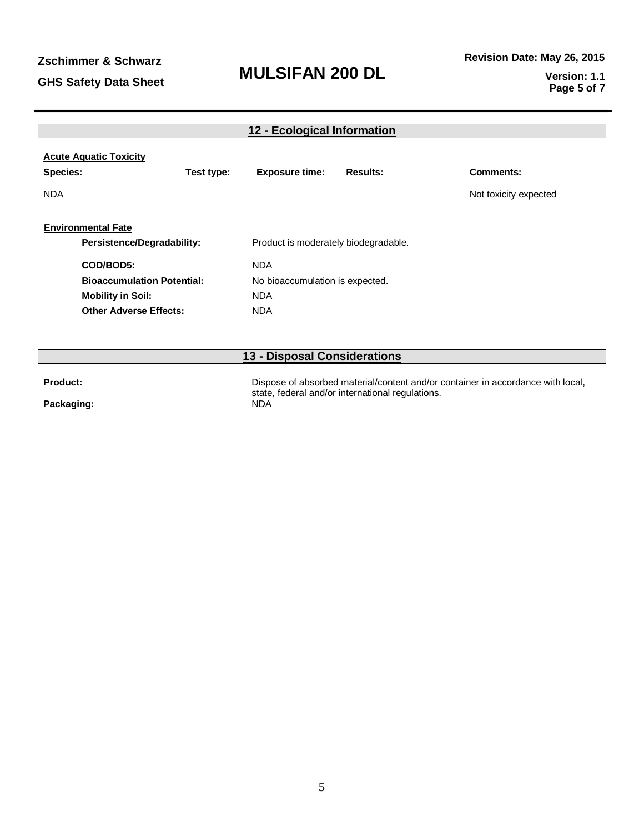| 12 - Ecological Information                      |            |                                                                |                 |                                                                                 |  |  |  |
|--------------------------------------------------|------------|----------------------------------------------------------------|-----------------|---------------------------------------------------------------------------------|--|--|--|
| <b>Acute Aquatic Toxicity</b><br><b>Species:</b> | Test type: | <b>Exposure time:</b>                                          | <b>Results:</b> | Comments:                                                                       |  |  |  |
|                                                  |            |                                                                |                 |                                                                                 |  |  |  |
| <b>NDA</b>                                       |            |                                                                |                 | Not toxicity expected                                                           |  |  |  |
| <b>Environmental Fate</b>                        |            |                                                                |                 |                                                                                 |  |  |  |
| <b>Persistence/Degradability:</b>                |            | Product is moderately biodegradable.                           |                 |                                                                                 |  |  |  |
| COD/BOD5:                                        |            | <b>NDA</b>                                                     |                 |                                                                                 |  |  |  |
| <b>Bioaccumulation Potential:</b>                |            | No bioaccumulation is expected.                                |                 |                                                                                 |  |  |  |
| <b>Mobility in Soil:</b>                         |            | <b>NDA</b>                                                     |                 |                                                                                 |  |  |  |
| <b>Other Adverse Effects:</b>                    |            | <b>NDA</b>                                                     |                 |                                                                                 |  |  |  |
|                                                  |            |                                                                |                 |                                                                                 |  |  |  |
|                                                  |            | 13 - Disposal Considerations                                   |                 |                                                                                 |  |  |  |
| Product:                                         |            |                                                                |                 | Dispose of absorbed material/content and/or container in accordance with local, |  |  |  |
| Packaging:                                       |            | state, federal and/or international regulations.<br><b>NDA</b> |                 |                                                                                 |  |  |  |

**Packaging:** 

5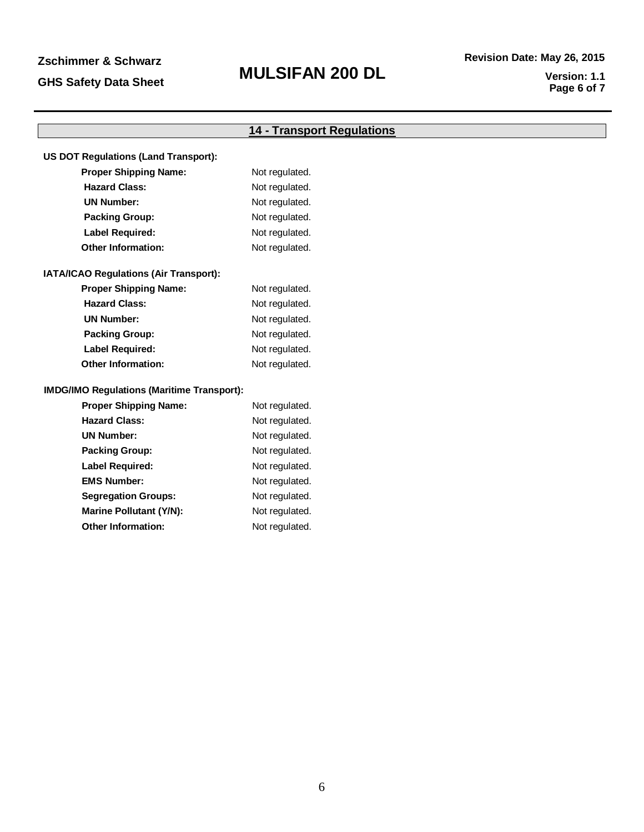## **MULSIFAN 200 DL**

|                                                   | <b>14 - Transport Regulations</b> |
|---------------------------------------------------|-----------------------------------|
|                                                   |                                   |
| <b>US DOT Regulations (Land Transport):</b>       |                                   |
| <b>Proper Shipping Name:</b>                      | Not regulated.                    |
| <b>Hazard Class:</b>                              | Not regulated.                    |
| <b>UN Number:</b>                                 | Not regulated.                    |
| <b>Packing Group:</b>                             | Not regulated.                    |
| <b>Label Required:</b>                            | Not regulated.                    |
| <b>Other Information:</b>                         | Not regulated.                    |
| IATA/ICAO Regulations (Air Transport):            |                                   |
| <b>Proper Shipping Name:</b>                      | Not regulated.                    |
| <b>Hazard Class:</b>                              | Not regulated.                    |
| <b>UN Number:</b>                                 | Not regulated.                    |
| <b>Packing Group:</b>                             | Not regulated.                    |
| <b>Label Required:</b>                            | Not regulated.                    |
| <b>Other Information:</b>                         | Not regulated.                    |
| <b>IMDG/IMO Regulations (Maritime Transport):</b> |                                   |
| <b>Proper Shipping Name:</b>                      | Not regulated.                    |
| <b>Hazard Class:</b>                              | Not regulated.                    |
| <b>UN Number:</b>                                 | Not regulated.                    |
| <b>Packing Group:</b>                             | Not regulated.                    |
| <b>Label Required:</b>                            | Not regulated.                    |
| <b>EMS Number:</b>                                | Not regulated.                    |
| <b>Segregation Groups:</b>                        | Not regulated.                    |
| <b>Marine Pollutant (Y/N):</b>                    | Not regulated.                    |

**Other Information:** Not regulated.